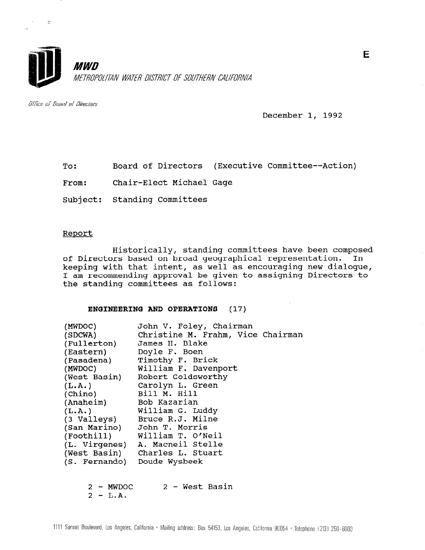

Office of Board of Directors

 $\mathbb{R}^2$ 

December 1, 1992

To: Board of Directors (Executive Committee--Action)

From: Chair-Elect Michael Gage

Subject: Standing Committees

#### Report

Historically, standing committees have been composed of Directors based on broad geographical representation. In keeping with that intent, as well as encouraging new dialogue, I am recommending approval be given to assigning Directors to the standing committees as follows:

#### ENGINEERING AND OPERATIONS (17)

| (MWDOC)<br>(SDCWA)          | John V. Foley, Chairman<br>Christine M. Frahm, Vice Chairman |
|-----------------------------|--------------------------------------------------------------|
|                             | (Fullerton) James H. Blake                                   |
| (Eastern)                   | Doyle F. Boen                                                |
| (Pasadena)                  | Timothy F. Brick                                             |
| (MWDOC)                     | William F. Davenport                                         |
| (West Basin)                | Robert Goldsworthy                                           |
| (L.A.)                      | Carolyn L. Green                                             |
| (Chino)                     | Bill M. Hill                                                 |
| (Anaheim) Bob Kazarian      |                                                              |
| (L.A.)                      | William G. Luddy                                             |
|                             | (3 Valleys) Bruce R.J. Milne                                 |
|                             | (San Marino) John T. Morris                                  |
| (Foothill)                  | William T. O'Neil                                            |
|                             | (L. Virgenes) A. Macneil Stelle                              |
|                             | (West Basin) Charles L. Stuart                               |
| (S. Fernando) Doude Wysbeek |                                                              |
|                             |                                                              |
| 2 - MWDOC                   | 2 - West Basin                                               |

 $2 - L.A.$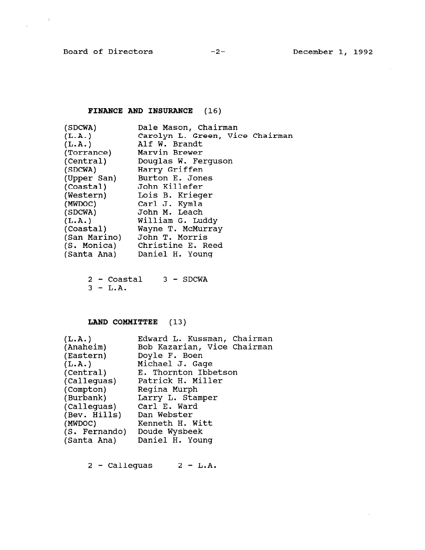$\frac{1}{\sqrt{2}}\left(\frac{1}{\sqrt{2}}\right)^{2}=\frac{1}{2}\left(\frac{1}{2}\right)^{2}$ 

 $\mathcal{A}^{\mathcal{A}}$ 

 $\mathcal{L}_{\text{max}}$ 

# FINANCE AND INSURANCE (16)

| (SDCWA)     | Dale Mason, Chairman            |
|-------------|---------------------------------|
| (L.A.)      | Carolyn L. Green, Vice Chairman |
| (L.A.)      | Alf W. Brandt                   |
| (Torrance)  | Marvin Brewer                   |
| (Central)   | Douglas W. Ferguson             |
| (SDCWA)     | Harry Griffen                   |
| (Upper San) | Burton E. Jones                 |
| (Coastal)   | John Killefer                   |
| (Western)   | Lois B. Krieger                 |
| (MWDOC)     | Carl J. Kymla                   |
| (SDCWA)     | John M. Leach                   |
| (L.A.)      | William G. Luddy                |
| (Coastal)   | Wayne T. McMurray               |
|             | (San Marino) John T. Morris     |
| (S. Monica) | Christine E. Reed               |
| (Santa Ana) | Daniel H. Young                 |
|             |                                 |

 $2 -$  Coastal  $3 -$  SDCWA  $3 - L.A.$ 

# LAND COMMITTEE (13)

| (L.A.)<br>(Anaheim) | Edward L. Kussman, Chairman<br>Bob Kazarian, Vice Chairman |  |  |  |  |
|---------------------|------------------------------------------------------------|--|--|--|--|
| (Eastern)           | Doyle F. Boen                                              |  |  |  |  |
| (L.A.)              | Michael J. Gage                                            |  |  |  |  |
| (Central)           | E. Thornton Ibbetson                                       |  |  |  |  |
| (Calleguas)         | Patrick H. Miller                                          |  |  |  |  |
| (Compton)           | Regina Murph                                               |  |  |  |  |
| (Burbank)           | Larry L. Stamper                                           |  |  |  |  |
| (Calleguas)         | Carl E. Ward                                               |  |  |  |  |
| (Bev. Hills)        | Dan Webster                                                |  |  |  |  |
| (MWDOC)             | Kenneth H. Witt                                            |  |  |  |  |
| (S. Fernando)       | Doude Wysbeek                                              |  |  |  |  |
| (Santa Ana)         | Daniel H. Young                                            |  |  |  |  |
|                     |                                                            |  |  |  |  |

 $2 - Calleguas$   $2 - L.A.$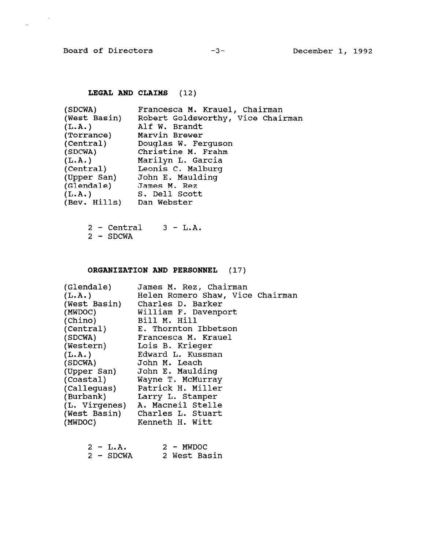$\sim$ 

 $\hat{\mathcal{N}}$ 

### LEGAL AND CLAIMS (12)

| (SDCWA)      | Francesca M. Krauel, Chairman     |
|--------------|-----------------------------------|
| (West Basin) | Robert Goldsworthy, Vice Chairman |
| (L.A.)       | Alf W. Brandt                     |
| (Torrance)   | Marvin Brewer                     |
| (Central)    | Douglas W. Ferguson               |
| (SDCWA)      | Christine M. Frahm                |
| (L.A.)       | Marilyn L. Garcia                 |
| (Central)    | Leonis C. Malburg                 |
| (Upper San)  | John E. Maulding                  |
| (Glendale)   | James M. Rez                      |
| (L.A.)       | S. Dell Scott                     |
| (Bev. Hills) | Dan Webster                       |

2 - Central 3 - L.A. 2 - SDCWA

### ORGANIZATION AND PERSONNEL (17)

| (Glendale)<br>(L.A.)<br>(West Basin)<br>(MWDOC)<br>(Chino)<br>(Central) | James M. Rez, Chairman<br>Helen Romero Shaw, Vice Chairman<br>Charles D. Barker<br>William F. Davenport<br>Bill M. Hill<br>E. Thornton Ibbetson |
|-------------------------------------------------------------------------|-------------------------------------------------------------------------------------------------------------------------------------------------|
|                                                                         |                                                                                                                                                 |
|                                                                         |                                                                                                                                                 |
|                                                                         |                                                                                                                                                 |
| (SDCWA)                                                                 | Francesca M. Krauel                                                                                                                             |
| (Western)                                                               | Lois B. Krieger                                                                                                                                 |
| (L.A.)                                                                  | Edward L. Kussman                                                                                                                               |
| (SDCWA)                                                                 | John M. Leach                                                                                                                                   |
| (Upper San)                                                             | John E. Maulding                                                                                                                                |
| (Coastal)                                                               | Wayne T. McMurray                                                                                                                               |
|                                                                         | (Calleguas) Patrick H. Miller                                                                                                                   |
| (Burbank)                                                               | Larry L. Stamper                                                                                                                                |
|                                                                         | (L. Virgenes) A. Macneil Stelle                                                                                                                 |
| (West Basin)                                                            | Charles L. Stuart                                                                                                                               |
| (MWDOC)                                                                 | Kenneth H. Witt                                                                                                                                 |

|  | $2 - L.A.$ |  | $2 - MWDOC$ |              |
|--|------------|--|-------------|--------------|
|  | 2 - SDCWA  |  |             | 2 West Basin |